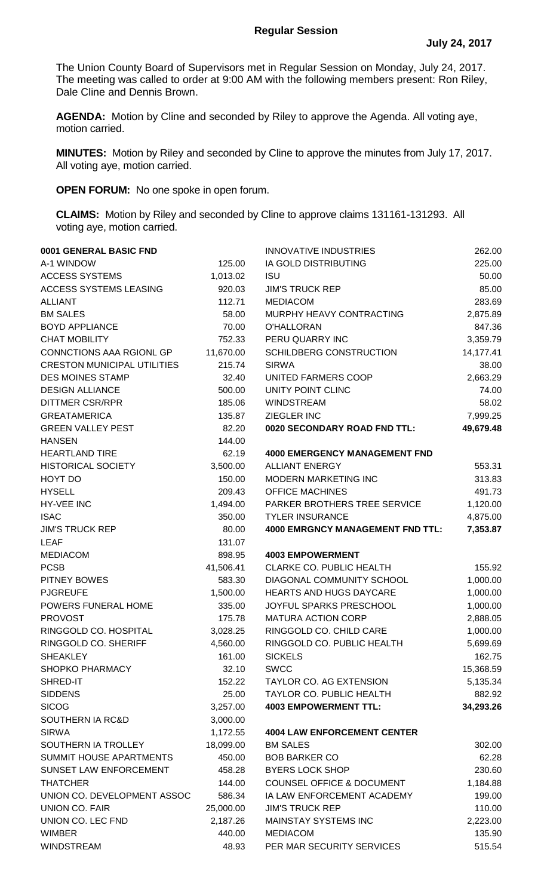## **Regular Session**

The Union County Board of Supervisors met in Regular Session on Monday, July 24, 2017. The meeting was called to order at 9:00 AM with the following members present: Ron Riley, Dale Cline and Dennis Brown.

**AGENDA:** Motion by Cline and seconded by Riley to approve the Agenda. All voting aye, motion carried.

**MINUTES:** Motion by Riley and seconded by Cline to approve the minutes from July 17, 2017. All voting aye, motion carried.

**OPEN FORUM:** No one spoke in open forum.

**CLAIMS:** Motion by Riley and seconded by Cline to approve claims 131161-131293. All voting aye, motion carried.

| 0001 GENERAL BASIC FND             |           | <b>INNOVATIVE INDUSTRIES</b>            | 262.00    |
|------------------------------------|-----------|-----------------------------------------|-----------|
| A-1 WINDOW                         | 125.00    | IA GOLD DISTRIBUTING                    | 225.00    |
| <b>ACCESS SYSTEMS</b>              | 1,013.02  | <b>ISU</b>                              | 50.00     |
| ACCESS SYSTEMS LEASING             | 920.03    | <b>JIM'S TRUCK REP</b>                  | 85.00     |
| <b>ALLIANT</b>                     | 112.71    | <b>MEDIACOM</b>                         | 283.69    |
| <b>BM SALES</b>                    | 58.00     | MURPHY HEAVY CONTRACTING                | 2,875.89  |
| <b>BOYD APPLIANCE</b>              | 70.00     | O'HALLORAN                              | 847.36    |
| <b>CHAT MOBILITY</b>               | 752.33    | PERU QUARRY INC                         | 3,359.79  |
| CONNCTIONS AAA RGIONL GP           | 11,670.00 | <b>SCHILDBERG CONSTRUCTION</b>          | 14,177.41 |
| <b>CRESTON MUNICIPAL UTILITIES</b> | 215.74    | <b>SIRWA</b>                            | 38.00     |
| <b>DES MOINES STAMP</b>            | 32.40     | UNITED FARMERS COOP                     | 2,663.29  |
| <b>DESIGN ALLIANCE</b>             | 500.00    | UNITY POINT CLINC                       | 74.00     |
| <b>DITTMER CSR/RPR</b>             | 185.06    | <b>WINDSTREAM</b>                       | 58.02     |
| <b>GREATAMERICA</b>                | 135.87    | ZIEGLER INC                             | 7,999.25  |
| <b>GREEN VALLEY PEST</b>           | 82.20     | 0020 SECONDARY ROAD FND TTL:            | 49,679.48 |
| <b>HANSEN</b>                      | 144.00    |                                         |           |
| <b>HEARTLAND TIRE</b>              | 62.19     | <b>4000 EMERGENCY MANAGEMENT FND</b>    |           |
| <b>HISTORICAL SOCIETY</b>          | 3,500.00  | <b>ALLIANT ENERGY</b>                   | 553.31    |
| HOYT DO                            | 150.00    | MODERN MARKETING INC                    | 313.83    |
| <b>HYSELL</b>                      | 209.43    | <b>OFFICE MACHINES</b>                  | 491.73    |
| HY-VEE INC                         | 1,494.00  | PARKER BROTHERS TREE SERVICE            | 1,120.00  |
| <b>ISAC</b>                        | 350.00    | <b>TYLER INSURANCE</b>                  | 4,875.00  |
| <b>JIM'S TRUCK REP</b>             | 80.00     | <b>4000 EMRGNCY MANAGEMENT FND TTL:</b> | 7,353.87  |
| <b>LEAF</b>                        | 131.07    |                                         |           |
| <b>MEDIACOM</b>                    | 898.95    | <b>4003 EMPOWERMENT</b>                 |           |
| <b>PCSB</b>                        | 41,506.41 | CLARKE CO. PUBLIC HEALTH                | 155.92    |
| <b>PITNEY BOWES</b>                | 583.30    | DIAGONAL COMMUNITY SCHOOL               | 1,000.00  |
| <b>PJGREUFE</b>                    | 1,500.00  | <b>HEARTS AND HUGS DAYCARE</b>          | 1,000.00  |
| POWERS FUNERAL HOME                | 335.00    | JOYFUL SPARKS PRESCHOOL                 | 1,000.00  |
| <b>PROVOST</b>                     | 175.78    | <b>MATURA ACTION CORP</b>               | 2,888.05  |
| RINGGOLD CO. HOSPITAL              | 3,028.25  | RINGGOLD CO. CHILD CARE                 | 1,000.00  |
| RINGGOLD CO. SHERIFF               | 4,560.00  | RINGGOLD CO. PUBLIC HEALTH              | 5,699.69  |
| <b>SHEAKLEY</b>                    | 161.00    | <b>SICKELS</b>                          | 162.75    |
| <b>SHOPKO PHARMACY</b>             | 32.10     | <b>SWCC</b>                             | 15,368.59 |
| SHRED-IT                           | 152.22    | TAYLOR CO. AG EXTENSION                 | 5,135.34  |
| <b>SIDDENS</b>                     | 25.00     | TAYLOR CO. PUBLIC HEALTH                | 882.92    |
| <b>SICOG</b>                       | 3,257.00  | <b>4003 EMPOWERMENT TTL:</b>            | 34,293.26 |
| SOUTHERN IA RC&D                   | 3,000.00  |                                         |           |
| <b>SIRWA</b>                       | 1,172.55  | <b>4004 LAW ENFORCEMENT CENTER</b>      |           |
| SOUTHERN IA TROLLEY                | 18,099.00 | <b>BM SALES</b>                         | 302.00    |
| SUMMIT HOUSE APARTMENTS            | 450.00    | <b>BOB BARKER CO</b>                    | 62.28     |
| SUNSET LAW ENFORCEMENT             | 458.28    | <b>BYERS LOCK SHOP</b>                  | 230.60    |
| <b>THATCHER</b>                    | 144.00    | <b>COUNSEL OFFICE &amp; DOCUMENT</b>    | 1,184.88  |
| UNION CO. DEVELOPMENT ASSOC        | 586.34    | IA LAW ENFORCEMENT ACADEMY              | 199.00    |
| <b>UNION CO. FAIR</b>              | 25,000.00 | <b>JIM'S TRUCK REP</b>                  | 110.00    |
| UNION CO. LEC FND                  | 2,187.26  | <b>MAINSTAY SYSTEMS INC</b>             | 2,223.00  |
| <b>WIMBER</b>                      | 440.00    | <b>MEDIACOM</b>                         | 135.90    |
| <b>WINDSTREAM</b>                  | 48.93     | PER MAR SECURITY SERVICES               | 515.54    |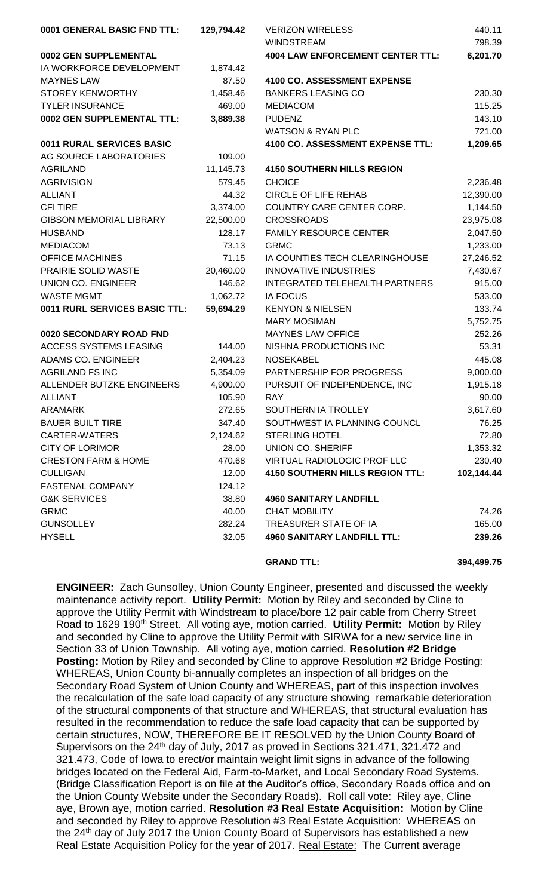| 0001 GENERAL BASIC FND TTL:    | 129,794.42 | <b>VERIZON WIRELESS</b>                 | 440.11     |
|--------------------------------|------------|-----------------------------------------|------------|
|                                |            | <b>WINDSTREAM</b>                       | 798.39     |
| 0002 GEN SUPPLEMENTAL          |            | <b>4004 LAW ENFORCEMENT CENTER TTL:</b> | 6,201.70   |
| IA WORKFORCE DEVELOPMENT       | 1,874.42   |                                         |            |
| <b>MAYNES LAW</b>              | 87.50      | <b>4100 CO. ASSESSMENT EXPENSE</b>      |            |
| STOREY KENWORTHY               | 1,458.46   | <b>BANKERS LEASING CO</b>               | 230.30     |
| <b>TYLER INSURANCE</b>         | 469.00     | <b>MEDIACOM</b>                         | 115.25     |
| 0002 GEN SUPPLEMENTAL TTL:     | 3,889.38   | <b>PUDENZ</b>                           | 143.10     |
|                                |            | <b>WATSON &amp; RYAN PLC</b>            | 721.00     |
| 0011 RURAL SERVICES BASIC      |            | 4100 CO. ASSESSMENT EXPENSE TTL:        | 1,209.65   |
| AG SOURCE LABORATORIES         | 109.00     |                                         |            |
| <b>AGRILAND</b>                | 11,145.73  | <b>4150 SOUTHERN HILLS REGION</b>       |            |
| <b>AGRIVISION</b>              | 579.45     | <b>CHOICE</b>                           | 2,236.48   |
| <b>ALLIANT</b>                 | 44.32      | <b>CIRCLE OF LIFE REHAB</b>             | 12,390.00  |
| <b>CFI TIRE</b>                | 3,374.00   | COUNTRY CARE CENTER CORP.               | 1,144.50   |
| <b>GIBSON MEMORIAL LIBRARY</b> | 22,500.00  | <b>CROSSROADS</b>                       | 23,975.08  |
| <b>HUSBAND</b>                 | 128.17     | <b>FAMILY RESOURCE CENTER</b>           | 2,047.50   |
| <b>MEDIACOM</b>                | 73.13      | <b>GRMC</b>                             | 1,233.00   |
| <b>OFFICE MACHINES</b>         | 71.15      | IA COUNTIES TECH CLEARINGHOUSE          | 27,246.52  |
| PRAIRIE SOLID WASTE            | 20,460.00  | <b>INNOVATIVE INDUSTRIES</b>            | 7,430.67   |
| <b>UNION CO. ENGINEER</b>      | 146.62     | INTEGRATED TELEHEALTH PARTNERS          | 915.00     |
| <b>WASTE MGMT</b>              | 1,062.72   | <b>IA FOCUS</b>                         | 533.00     |
| 0011 RURL SERVICES BASIC TTL:  | 59,694.29  | <b>KENYON &amp; NIELSEN</b>             | 133.74     |
|                                |            | <b>MARY MOSIMAN</b>                     | 5,752.75   |
| 0020 SECONDARY ROAD FND        |            | <b>MAYNES LAW OFFICE</b>                | 252.26     |
| ACCESS SYSTEMS LEASING         | 144.00     | NISHNA PRODUCTIONS INC                  | 53.31      |
| ADAMS CO. ENGINEER             | 2,404.23   | <b>NOSEKABEL</b>                        | 445.08     |
| <b>AGRILAND FS INC</b>         | 5,354.09   | PARTNERSHIP FOR PROGRESS                | 9,000.00   |
| ALLENDER BUTZKE ENGINEERS      | 4,900.00   | PURSUIT OF INDEPENDENCE, INC            | 1,915.18   |
| <b>ALLIANT</b>                 | 105.90     | <b>RAY</b>                              | 90.00      |
| <b>ARAMARK</b>                 | 272.65     | SOUTHERN IA TROLLEY                     | 3,617.60   |
| <b>BAUER BUILT TIRE</b>        | 347.40     | SOUTHWEST IA PLANNING COUNCL            | 76.25      |
| <b>CARTER-WATERS</b>           | 2,124.62   | <b>STERLING HOTEL</b>                   | 72.80      |
| <b>CITY OF LORIMOR</b>         | 28.00      | <b>UNION CO. SHERIFF</b>                | 1,353.32   |
| <b>CRESTON FARM &amp; HOME</b> | 470.68     | VIRTUAL RADIOLOGIC PROF LLC             | 230.40     |
| <b>CULLIGAN</b>                | 12.00      | <b>4150 SOUTHERN HILLS REGION TTL:</b>  | 102,144.44 |
| FASTENAL COMPANY               | 124.12     |                                         |            |
| <b>G&amp;K SERVICES</b>        | 38.80      | <b>4960 SANITARY LANDFILL</b>           |            |
| <b>GRMC</b>                    | 40.00      | <b>CHAT MOBILITY</b>                    | 74.26      |
| <b>GUNSOLLEY</b>               | 282.24     | TREASURER STATE OF IA                   | 165.00     |
| <b>HYSELL</b>                  | 32.05      | <b>4960 SANITARY LANDFILL TTL:</b>      | 239.26     |
|                                |            |                                         |            |

## **GRAND TTL: 394,499.75**

**ENGINEER:** Zach Gunsolley, Union County Engineer, presented and discussed the weekly maintenance activity report. **Utility Permit:** Motion by Riley and seconded by Cline to approve the Utility Permit with Windstream to place/bore 12 pair cable from Cherry Street Road to 1629 190<sup>th</sup> Street. All voting aye, motion carried. Utility Permit: Motion by Riley and seconded by Cline to approve the Utility Permit with SIRWA for a new service line in Section 33 of Union Township. All voting aye, motion carried. **Resolution #2 Bridge Posting:** Motion by Riley and seconded by Cline to approve Resolution #2 Bridge Posting: WHEREAS, Union County bi-annually completes an inspection of all bridges on the Secondary Road System of Union County and WHEREAS, part of this inspection involves the recalculation of the safe load capacity of any structure showing remarkable deterioration of the structural components of that structure and WHEREAS, that structural evaluation has resulted in the recommendation to reduce the safe load capacity that can be supported by certain structures, NOW, THEREFORE BE IT RESOLVED by the Union County Board of Supervisors on the 24<sup>th</sup> day of July, 2017 as proved in Sections 321.471, 321.472 and 321.473, Code of Iowa to erect/or maintain weight limit signs in advance of the following bridges located on the Federal Aid, Farm-to-Market, and Local Secondary Road Systems. (Bridge Classification Report is on file at the Auditor's office, Secondary Roads office and on the Union County Website under the Secondary Roads). Roll call vote: Riley aye, Cline aye, Brown aye, motion carried. **Resolution #3 Real Estate Acquisition:** Motion by Cline and seconded by Riley to approve Resolution #3 Real Estate Acquisition: WHEREAS on the 24th day of July 2017 the Union County Board of Supervisors has established a new Real Estate Acquisition Policy for the year of 2017. Real Estate: The Current average